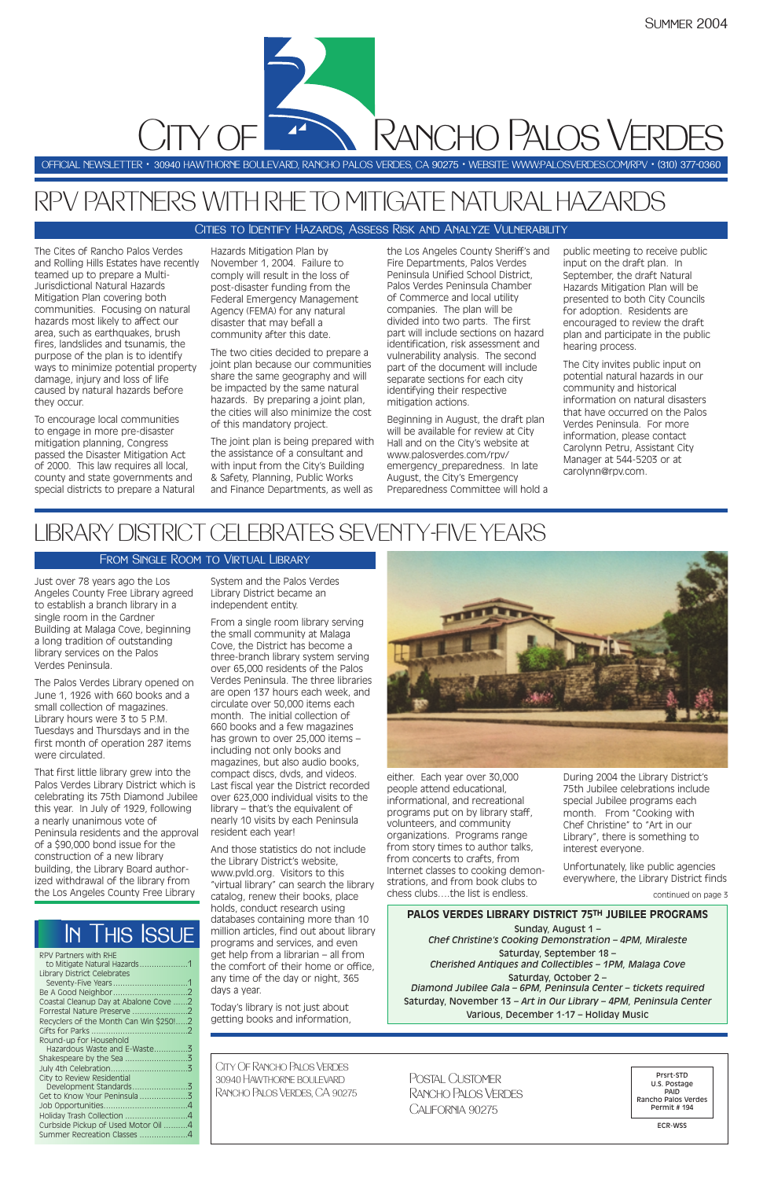Just over 78 years ago the Los Angeles County Free Library agreed to establish a branch library in a single room in the Gardner Building at Malaga Cove, beginning a long tradition of outstanding library services on the Palos Verdes Peninsula.

The Palos Verdes Library opened on June 1, 1926 with 660 books and a small collection of magazines. Library hours were 3 to 5 P.M. Tuesdays and Thursdays and in the first month of operation 287 items were circulated.

That first little library grew into the Palos Verdes Library District which is celebrating its 75th Diamond Jubilee this year. In July of 1929, following a nearly unanimous vote of Peninsula residents and the approval of a \$90,000 bond issue for the construction of a new library building, the Library Board authorized withdrawal of the library from the Los Angeles County Free Library

System and the Palos Verdes Library District became an independent entity.

From a single room library serving the small community at Malaga Cove, the District has become a three-branch library system serving over 65,000 residents of the Palos Verdes Peninsula. The three libraries are open 137 hours each week, and circulate over 50,000 items each month. The initial collection of 660 books and a few magazines has grown to over 25,000 items – including not only books and magazines, but also audio books, compact discs, dvds, and videos. Last fiscal year the District recorded over 623,000 individual visits to the library – that's the equivalent of nearly 10 visits by each Peninsula resident each year!

And those statistics do not include the Library District's website,



www.pvld.org. Visitors to this "virtual library" can search the library catalog, renew their books, place holds, conduct research using databases containing more than 10 million articles, find out about library programs and services, and even get help from a librarian – all from the comfort of their home or office, any time of the day or night, 365 days a year.

Today's library is not just about getting books and information, either. Each year over 30,000 people attend educational, informational, and recreational programs put on by library staff, volunteers, and community organizations. Programs range from story times to author talks, from concerts to crafts, from

Internet classes to cooking demonstrations, and from book clubs to chess clubs….the list is endless.

During 2004 the Library District's 75th Jubilee celebrations include special Jubilee programs each month. From "Cooking with Chef Christine" to "Art in our Library", there is something to interest everyone.

Unfortunately, like public agencies

everywhere, the Library District finds

The Cites of Rancho Palos Verdes and Rolling Hills Estates have recently teamed up to prepare a Multi-Jurisdictional Natural Hazards Mitigation Plan covering both communities. Focusing on natural hazards most likely to affect our area, such as earthquakes, brush fires, landslides and tsunamis, the purpose of the plan is to identify ways to minimize potential property damage, injury and loss of life caused by natural hazards before they occur.

To encourage local communities to engage in more pre-disaster mitigation planning, Congress passed the Disaster Mitigation Act of 2000. This law requires all local, county and state governments and special districts to prepare a Natural

Hazards Mitigation Plan by November 1, 2004. Failure to comply will result in the loss of post-disaster funding from the Federal Emergency Management Agency (FEMA) for any natural disaster that may befall a community after this date.

The two cities decided to prepare a joint plan because our communities share the same geography and will be impacted by the same natural hazards. By preparing a joint plan, the cities will also minimize the cost of this mandatory project.

The joint plan is being prepared with the assistance of a consultant and with input from the City's Building & Safety, Planning, Public Works and Finance Departments, as well as

the Los Angeles County Sheriff's and Fire Departments, Palos Verdes Peninsula Unified School District, Palos Verdes Peninsula Chamber of Commerce and local utility companies. The plan will be divided into two parts. The first part will include sections on hazard identification, risk assessment and vulnerability analysis. The second part of the document will include separate sections for each city identifying their respective mitigation actions.

Beginning in August, the draft plan will be available for review at City Hall and on the City's website at www.palosverdes.com/rpv/ emergency\_preparedness. In late August, the City's Emergency Preparedness Committee will hold a public meeting to receive public input on the draft plan. In September, the draft Natural Hazards Mitigation Plan will be presented to both City Councils for adoption. Residents are encouraged to review the draft plan and participate in the public hearing process.

The City invites public input on potential natural hazards in our community and historical information on natural disasters that have occurred on the Palos Verdes Peninsula. For more information, please contact Carolynn Petru, Assistant City Manager at 544-5203 or at carolynn@rpv.com.

# RPV PARTNERS WITH RHE TO MITIGATE NATURAL HAZARDS

OFFICIAL NEWSLETTER • 30940 HAWTHORNE BOULEVARD, RANCHO PALOS VERDES, CA 90275 • WEBSITE: WWW:PALOSVERDES.COM/RPV • (310) 377-0360

City Of Rancho Palos Verdes 30940 Hawthorne boulevard Rancho Palos Verdes, CA 90275

Prsrt-STD U.S. Postage PAID Rancho Palos Verdes Permit # 194

ECR-WSS

Postal Customer Rancho Palos VerdesCalifornia 90275

In This Issue

Rancho Palos Verdes

# LIBRARY DISTRICT CELEBRATES SEVENTY-FIVE YEARS

#### From Single Room to Virtual Library

CITY OF

continued on page 3

#### Cities to Identify Hazards, Assess Risk and Analyze Vulnerability

#### **PALOS VERDES LIBRARY DISTRICT 75TH JUBILEE PROGRAMS**

Sunday, August 1 – *Chef Christine's Cooking Demonstration – 4PM, Miraleste*

Saturday, September 18 – *Cherished Antiques and Collectibles – 1PM, Malaga Cove*

Saturday, October 2 – *Diamond Jubilee Gala – 6PM, Peninsula Center – tickets required* Saturday, November 13 *– Art in Our Library – 4PM, Peninsula Center* Various, December 1-17 – Holiday Music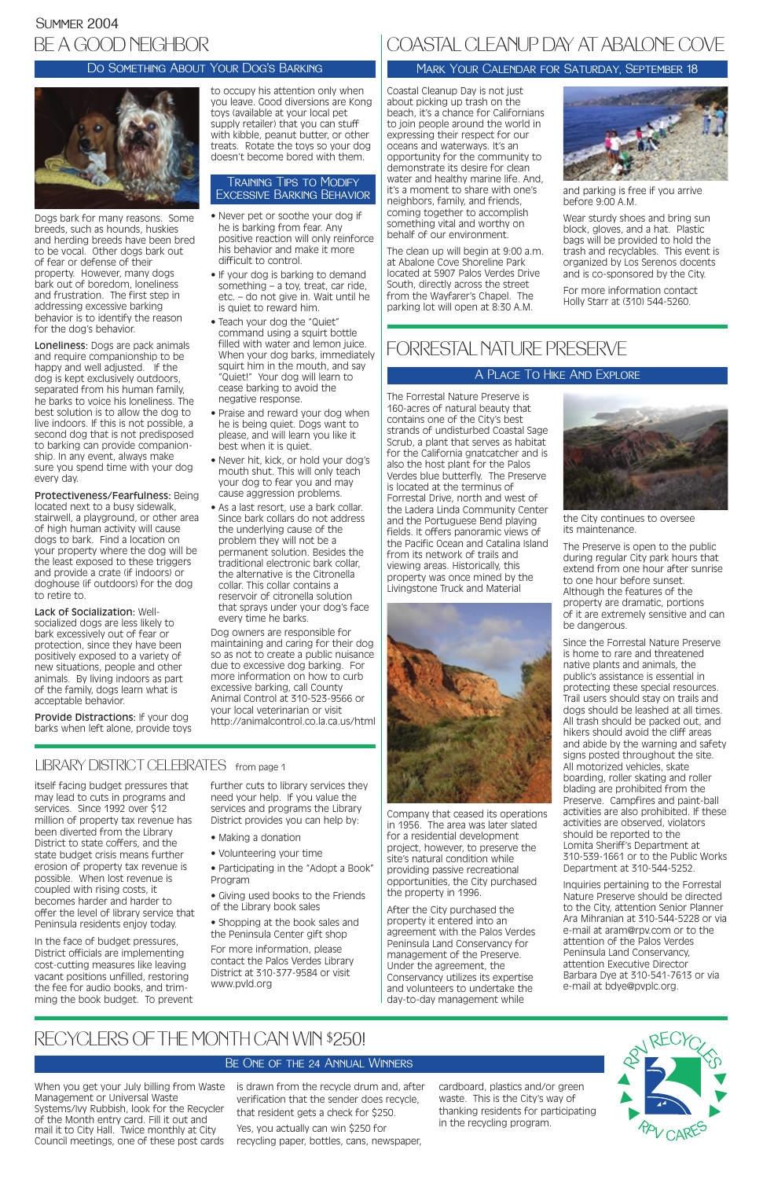itself facing budget pressures that may lead to cuts in programs and services. Since 1992 over \$12 million of property tax revenue has been diverted from the Library District to state coffers, and the state budget crisis means further erosion of property tax revenue is possible. When lost revenue is coupled with rising costs, it becomes harder and harder to offer the level of library service that Peninsula residents enjoy today.

In the face of budget pressures, District officials are implementing cost-cutting measures like leaving vacant positions unfilled, restoring the fee for audio books, and trimming the book budget. To prevent further cuts to library services they need your help. If you value the services and programs the Library District provides you can help by:

- Making a donation
- Volunteering your time
- 

• Participating in the "Adopt a Book" Program

• Giving used books to the Friends of the Library book sales

• Shopping at the book sales and the Peninsula Center gift shop

For more information, please contact the Palos Verdes Library District at 310-377-9584 or visit www.pvld.org

Dogs bark for many reasons. Some breeds, such as hounds, huskies and herding breeds have been bred to be vocal. Other dogs bark out of fear or defense of their property. However, many dogs bark out of boredom, loneliness and frustration. The first step in addressing excessive barking behavior is to identify the reason for the dog's behavior.

Loneliness: Dogs are pack animals and require companionship to be happy and well adjusted. If the dog is kept exclusively outdoors, separated from his human family, he barks to voice his loneliness. The best solution is to allow the dog to live indoors. If this is not possible, a second dog that is not predisposed to barking can provide companionship. In any event, always make sure you spend time with your dog every day.

Protectiveness/Fearfulness: Being located next to a busy sidewalk, stairwell, a playground, or other area of high human activity will cause dogs to bark. Find a location on your property where the dog will be the least exposed to these triggers and provide a crate (if indoors) or doghouse (if outdoors) for the dog to retire to.

Lack of Socialization: Wellsocialized dogs are less likely to bark excessively out of fear or protection, since they have been positively exposed to a variety of new situations, people and other animals. By living indoors as part of the family, dogs learn what is acceptable behavior.

Provide Distractions: If your dog barks when left alone, provide toys

### Summer 2004 BE A GOOD NEIGHBOR

to occupy his attention only when you leave. Good diversions are Kong toys (available at your local pet supply retailer) that you can stuff with kibble, peanut butter, or other treats. Rotate the toys so your dog doesn't become bored with them.

- Never pet or soothe your dog if he is barking from fear. Any positive reaction will only reinforce his behavior and make it more difficult to control.
- If your dog is barking to demand something – a toy, treat, car ride, etc. – do not give in. Wait until he is quiet to reward him.
- Teach your dog the "Quiet" command using a squirt bottle filled with water and lemon juice. When your dog barks, immediately squirt him in the mouth, and say "Quiet!" Your dog will learn to cease barking to avoid the negative response.
- Praise and reward your dog when he is being quiet. Dogs want to please, and will learn you like it best when it is quiet.
- Never hit, kick, or hold your dog's mouth shut. This will only teach your dog to fear you and may cause aggression problems.
- As a last resort, use a bark collar. Since bark collars do not address the underlying cause of the problem they will not be a permanent solution. Besides the traditional electronic bark collar, the alternative is the Citronella collar. This collar contains a reservoir of citronella solution that sprays under your dog's face every time he barks.

Dog owners are responsible for maintaining and caring for their dog so as not to create a public nuisance due to excessive dog barking. For more information on how to curb excessive barking, call County Animal Control at 310-523-9566 or your local veterinarian or visit http://animalcontrol.co.la.ca.us/html

### LIBRARY DISTRICT CELEBRATES from page 1

#### Do Something About Your Dog's Barking



#### Training Tips to Modify Excessive Barking Behavior

Coastal Cleanup Day is not just about picking up trash on the beach, it's a chance for Californians to join people around the world in expressing their respect for our oceans and waterways. It's an opportunity for the community to demonstrate its desire for clean water and healthy marine life. And, it's a moment to share with one's neighbors, family, and friends, coming together to accomplish something vital and worthy on behalf of our environment.

The clean up will begin at 9:00 a.m. at Abalone Cove Shoreline Park located at 5907 Palos Verdes Drive South, directly across the street from the Wayfarer's Chapel. The parking lot will open at 8:30 A.M.



and parking is free if you arrive before 9:00 A.M.

Wear sturdy shoes and bring sun block, gloves, and a hat. Plastic bags will be provided to hold the trash and recyclables. This event is organized by Los Serenos docents and is co-sponsored by the City.

For more information contact Holly Starr at (310) 544-5260.

### COASTAL CLEANUP DAY AT ABALONE COVE

#### Mark Your Calendar for Saturday, September 18

The Forrestal Nature Preserve is 160-acres of natural beauty that contains one of the City's best strands of undisturbed Coastal Sage Scrub, a plant that serves as habitat for the California gnatcatcher and is also the host plant for the Palos Verdes blue butterfly. The Preserve is located at the terminus of Forrestal Drive, north and west of the Ladera Linda Community Center and the Portuguese Bend playing fields. It offers panoramic views of the Pacific Ocean and Catalina Island from its network of trails and viewing areas. Historically, this property was once mined by the Livingstone Truck and Material



Company that ceased its operations in 1956. The area was later slated for a residential development project, however, to preserve the site's natural condition while

providing passive recreational opportunities, the City purchased the property in 1996.

After the City purchased the property it entered into an agreement with the Palos Verdes Peninsula Land Conservancy for management of the Preserve. Under the agreement, the Conservancy utilizes its expertise and volunteers to undertake the day-to-day management while



the City continues to oversee its maintenance.

The Preserve is open to the public during regular City park hours that extend from one hour after sunrise to one hour before sunset. Although the features of the property are dramatic, portions of it are extremely sensitive and can be dangerous.

Since the Forrestal Nature Preserve is home to rare and threatened native plants and animals, the public's assistance is essential in protecting these special resources. Trail users should stay on trails and dogs should be leashed at all times. All trash should be packed out, and hikers should avoid the cliff areas and abide by the warning and safety signs posted throughout the site. All motorized vehicles, skate boarding, roller skating and roller blading are prohibited from the Preserve. Campfires and paint-ball activities are also prohibited. If these activities are observed, violators should be reported to the Lomita Sheriff's Department at 310-539-1661 or to the Public Works Department at 310-544-5252.

Inquiries pertaining to the Forrestal Nature Preserve should be directed to the City, attention Senior Planner Ara Mihranian at 310-544-5228 or via e-mail at aram@rpv.com or to the attention of the Palos Verdes Peninsula Land Conservancy, attention Executive Director Barbara Dye at 310-541-7613 or via e-mail at bdye@pvplc.org.

### FORRESTAL NATURE PRESERVE

#### A Place To Hike And Explore

When you get your July billing from Waste is drawn from the recycle drum and, after Management or Universal Waste Systems/Ivy Rubbish, look for the Recycler of the Month entry card. Fill it out and mail it to City Hall. Twice monthly at City Council meetings, one of these post cards

verification that the sender does recycle, that resident gets a check for \$250.

Yes, you actually can win \$250 for recycling paper, bottles, cans, newspaper,

cardboard, plastics and/or green waste. This is the City's way of thanking residents for participating in the recycling program.

### RECYCLERS OF THE MONTH CAN WIN \$250!

#### BE ONE OF THE 24 ANNUAL WINNERS

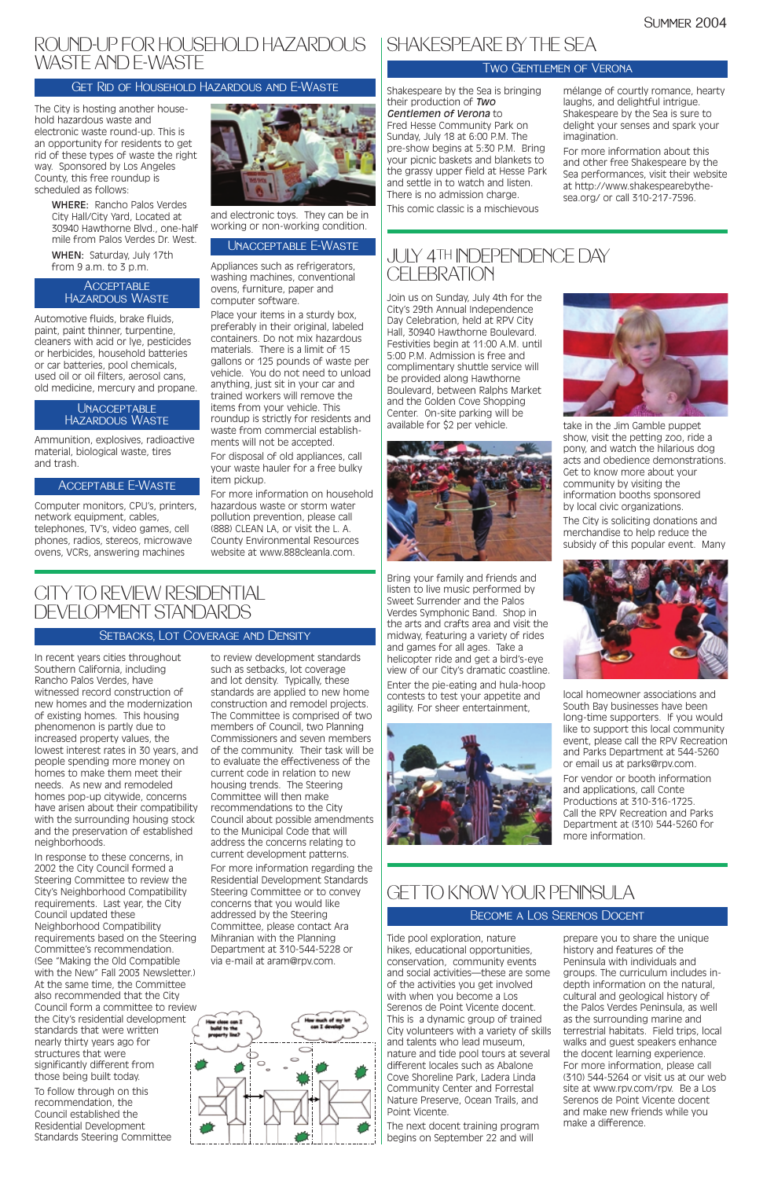The City is hosting another household hazardous waste and electronic waste round-up. This is an opportunity for residents to get rid of these types of waste the right way. Sponsored by Los Angeles County, this free roundup is scheduled as follows:

> WHERE: Rancho Palos Verdes City Hall/City Yard, Located at 30940 Hawthorne Blvd., one-half mile from Palos Verdes Dr. West.

WHEN: Saturday, July 17th from 9 a.m. to 3 p.m.

Automotive fluids, brake fluids, paint, paint thinner, turpentine, cleaners with acid or lye, pesticides or herbicides, household batteries or car batteries, pool chemicals, used oil or oil filters, aerosol cans, old medicine, mercury and propane.

Ammunition, explosives, radioactive material, biological waste, tires and trash.

Computer monitors, CPU's, printers, network equipment, cables, telephones, TV's, video games, cell phones, radios, stereos, microwave ovens, VCRs, answering machines



and electronic toys. They can be in working or non-working condition.

Appliances such as refrigerators, washing machines, conventional ovens, furniture, paper and computer software.

Place your items in a sturdy box, preferably in their original, labeled containers. Do not mix hazardous materials. There is a limit of 15 gallons or 125 pounds of waste per vehicle. You do not need to unload anything, just sit in your car and trained workers will remove the items from your vehicle. This roundup is strictly for residents and waste from commercial establishments will not be accepted.

For disposal of old appliances, call your waste hauler for a free bulky item pickup.

For more information on household hazardous waste or storm water pollution prevention, please call (888) CLEAN LA, or visit the L. A. County Environmental Resources website at www.888cleanla.com.

Shakespeare by the Sea is bringing their production of *Two Gentlemen of Verona* to Fred Hesse Community Park on Sunday, July 18 at 6:00 P.M. The pre-show begins at 5:30 P.M. Bring your picnic baskets and blankets to the grassy upper field at Hesse Park and settle in to watch and listen. There is no admission charge. This comic classic is a mischievous

### JULY 4TH INDEPENDENCE DAY **CELEBRATION**

### ROUND-UP FOR HOUSEHOLD HAZARDOUS | SHAKESPEARE BY THE SEA WASTE AND E-WASTE

#### **ACCEPTABLE** Hazardous Waste

mélange of courtly romance, hearty laughs, and delightful intrigue. Shakespeare by the Sea is sure to delight your senses and spark your imagination.

For more information about this and other free Shakespeare by the Sea performances, visit their website at http://www.shakespearebythesea.org/ or call 310-217-7596.

#### Two Gentlemen of Verona

Join us on Sunday, July 4th for the City's 29th Annual Independence Day Celebration, held at RPV City Hall, 30940 Hawthorne Boulevard. Festivities begin at 11:00 A.M. until 5:00 P.M. Admission is free and complimentary shuttle service will be provided along Hawthorne Boulevard, between Ralphs Market and the Golden Cove Shopping Center. On-site parking will be available for \$2 per vehicle.



Bring your family and friends and listen to live music performed by Sweet Surrender and the Palos Verdes Symphonic Band. Shop in the arts and crafts area and visit the midway, featuring a variety of rides and games for all ages. Take a helicopter ride and get a bird's-eye view of our City's dramatic coastline. Enter the pie-eating and hula-hoop contests to test your appetite and agility. For sheer entertainment,





take in the Jim Gamble puppet show, visit the petting zoo, ride a pony, and watch the hilarious dog acts and obedience demonstrations. Get to know more about your community by visiting the information booths sponsored by local civic organizations.

The City is soliciting donations and merchandise to help reduce the subsidy of this popular event. Many



local homeowner associations and South Bay businesses have been long-time supporters. If you would like to support this local community event, please call the RPV Recreation and Parks Department at 544-5260 or email us at parks@rpv.com.

#### **UNACCEPTABLE** Hazardous Waste

For vendor or booth information and applications, call Conte Productions at 310-316-1725. Call the RPV Recreation and Parks Department at (310) 544-5260 for more information.

#### Get Rid of Household Hazardous and E-Waste

#### Acceptable E-Waste

#### Unacceptable E-Waste

In recent years cities throughout Southern California, including Rancho Palos Verdes, have witnessed record construction of new homes and the modernization of existing homes. This housing phenomenon is partly due to increased property values, the lowest interest rates in 30 years, and people spending more money on homes to make them meet their needs. As new and remodeled homes pop-up citywide, concerns have arisen about their compatibility with the surrounding housing stock and the preservation of established neighborhoods.

In response to these concerns, in

2002 the City Council formed a Steering Committee to review the City's Neighborhood Compatibility requirements. Last year, the City Council updated these Neighborhood Compatibility requirements based on the Steering Committee's recommendation. (See "Making the Old Compatible with the New" Fall 2003 Newsletter.) At the same time, the Committee also recommended that the City Council form a committee to review the City's residential development standards that were written nearly thirty years ago for structures that were significantly different from those being built today.

To follow through on this recommendation, the Council established the Residential Development Standards Steering Committee

to review development standards such as setbacks, lot coverage and lot density. Typically, these standards are applied to new home construction and remodel projects. The Committee is comprised of two members of Council, two Planning Commissioners and seven members of the community. Their task will be to evaluate the effectiveness of the current code in relation to new housing trends. The Steering Committee will then make recommendations to the City Council about possible amendments to the Municipal Code that will address the concerns relating to current development patterns.

For more information regarding the Residential Development Standards Steering Committee or to convey concerns that you would like addressed by the Steering Committee, please contact Ara Mihranian with the Planning Department at 310-544-5228 or via e-mail at aram@rpv.com.



### CITY TO REVIEW RESIDENTIAL DEVELOPMENT STANDARDS

#### Setbacks, Lot Coverage and Density

Tide pool exploration, nature hikes, educational opportunities, conservation, community events and social activities—these are some of the activities you get involved with when you become a Los Serenos de Point Vicente docent. This is a dynamic group of trained City volunteers with a variety of skills and talents who lead museum, nature and tide pool tours at several different locales such as Abalone Cove Shoreline Park, Ladera Linda Community Center and Forrestal Nature Preserve, Ocean Trails, and Point Vicente.

The next docent training program begins on September 22 and will

prepare you to share the unique history and features of the Peninsula with individuals and groups. The curriculum includes indepth information on the natural, cultural and geological history of the Palos Verdes Peninsula, as well as the surrounding marine and terrestrial habitats. Field trips, local walks and guest speakers enhance the docent learning experience. For more information, please call (310) 544-5264 or visit us at our web site at www.rpv.com/rpv. Be a Los Serenos de Point Vicente docent and make new friends while you make a difference.

### GETTO KNOW YOUR PENINSULA

#### Become a Los Serenos Docent